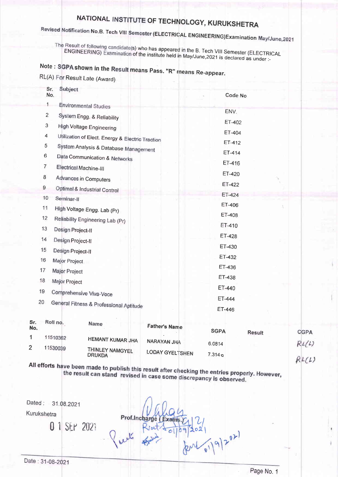# NATIONAL INSTITUTE OF TECHNOLOGY, KURUKSHETRA

# Revised Notification No.B. Tech VIII Semester (ELECTRICAL ENGINEERING)Examination May/June,2021

The Result of following candidate(s) who has appeared in the B. Tech VIII Semester (ELECTRICAL ENGINEERING) Examination of the institute held in May/June, 2021 is declared as under :-

# Note: SGPA shown in the Result means Pass. "R" means Re-appear.  $R1(n)$  -

|  |  | ≺L(A) For Result Late (Award |
|--|--|------------------------------|
|  |  |                              |

|                | Sr.<br>Subject<br>No.                            |        | Code No |  |
|----------------|--------------------------------------------------|--------|---------|--|
| 1              | <b>Environmental Studies</b>                     |        |         |  |
| $\overline{2}$ | System Engg. & Reliability                       |        | ENV.    |  |
| 3              | High Voltage Engineering                         |        | ET-402  |  |
| $\overline{4}$ | Utilization of Elect. Energy & Electric Traction |        | ET-404  |  |
| 5              | System Analysis & Database Management            |        | ET-412  |  |
| 6              | Data Communication & Networks                    |        | ET-414  |  |
| $\overline{7}$ | Electrical Machine-III                           |        | ET-416  |  |
| 8              | Advances in Computers                            |        | ET-420  |  |
| 9              |                                                  |        | ET-422  |  |
| 10             | Optimal & Industrial Control<br>Seminar-II       |        | ET-424  |  |
| 11             |                                                  |        | ET-406  |  |
| 12             | High Voltage Engg. Lab (Pr)                      |        | ET-408  |  |
| 13             | Reliability Engineering Lab (Pr)                 |        | ET-410  |  |
|                | Design Project-II                                |        | ET-428  |  |
| 14             | Design Project-II                                |        | ET-430  |  |
| 15             | Design Project-II                                |        | ET-432  |  |
| 16             | Major Project                                    |        | ET-436  |  |
| 17             | Major Project                                    |        | ET-438  |  |
| 18             | Major Project                                    | ET-440 |         |  |
| 19             | Comprehensive Viva-Voce                          |        |         |  |
| 20             | General Fitness & Professional Aptitude          | ET-444 |         |  |
|                |                                                  | ET-446 |         |  |

| Sr.<br>No. | Roll no. | <b>Name</b>                      | <b>Father's Name</b>   | <b>SGPA</b> | <b>Result</b> | <b>CGPA</b> |
|------------|----------|----------------------------------|------------------------|-------------|---------------|-------------|
|            | 11510362 | <b>HEMANT KUMAR JHA</b>          |                        |             |               |             |
|            |          |                                  | <b>NARAYAN JHA</b>     | 6.0814      |               | RL(L)       |
| ົ          | 11530039 | THINLEY NAMGYEL<br><b>DRUKDA</b> | <b>LODAY GYELTSHEN</b> | $7.314$ e   |               |             |

All efforts have been made to publish this result after checking the entries properly. However, the result can stand revised in case some discrepancy is observed.

Dated: 31.08.2021

Kurukshetra

0 1 SEP 2021

Prof.Inch  $(519)2^{02}$